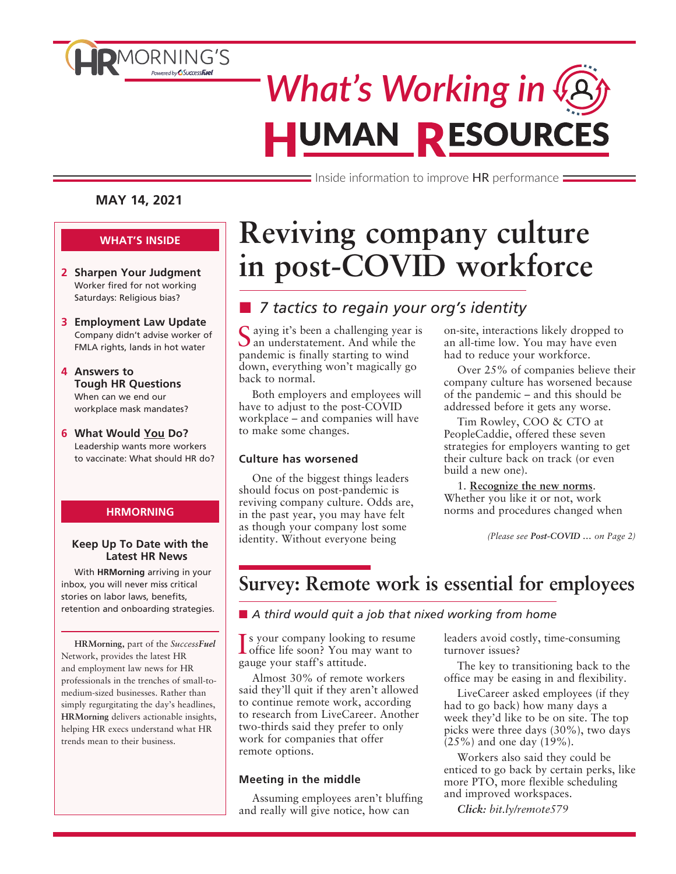

# *What's Working in* **HUMAN RESOURCES**

 $\equiv$  Inside information to improve HR performance  $\equiv$ 

#### **MAY 14, 2021**

#### **WHAT'S INSIDE**

- **2 Sharpen Your Judgment** Worker fired for not working Saturdays: Religious bias?
- **3 Employment Law Update** Company didn't advise worker of FMLA rights, lands in hot water
- **4 Answers to Tough HR Questions** When can we end our workplace mask mandates?
- **6 What Would You Do?** Leadership wants more workers to vaccinate: What should HR do?

#### **HRMORNING**

#### **Keep Up To Date with the Latest HR News**

With **HRMorning** arriving in your inbox, you will never miss critical stories on labor laws, benefits, retention and onboarding strategies.

**HRMorning,** part of the *SuccessFuel* Network, provides the latest HR and employment law news for HR professionals in the trenches of small-tomedium-sized businesses. Rather than simply regurgitating the day's headlines, **HRMorning** delivers actionable insights, helping HR execs understand what HR trends mean to their business.

## **Reviving company culture in post-COVID workforce**

### ■ 7 tactics to regain your org's identity

Saying it's been a challenging year is<br>
San understatement. And while the pandemic is finally starting to wind down, everything won't magically go back to normal.

Both employers and employees will have to adjust to the post-COVID workplace – and companies will have to make some changes.

#### **Culture has worsened**

One of the biggest things leaders should focus on post-pandemic is reviving company culture. Odds are, in the past year, you may have felt as though your company lost some identity. Without everyone being

on-site, interactions likely dropped to an all-time low. You may have even had to reduce your workforce.

Over 25% of companies believe their company culture has worsened because of the pandemic – and this should be addressed before it gets any worse.

Tim Rowley, COO & CTO at PeopleCaddie, offered these seven strategies for employers wanting to get their culture back on track (or even build a new one).

1. **Recognize the new norms**. Whether you like it or not, work norms and procedures changed when

*(Please see Post-COVID … on Page 2)*

### **Survey: Remote work is essential for employees**

■ A third would quit a job that nixed working from home

Is your company looking to resume<br>
office life soon? You may want to office life soon? You may want to gauge your staff's attitude.

Almost 30% of remote workers said they'll quit if they aren't allowed to continue remote work, according to research from LiveCareer. Another two-thirds said they prefer to only work for companies that offer remote options.

#### **Meeting in the middle**

Assuming employees aren't bluffing and really will give notice, how can

leaders avoid costly, time-consuming turnover issues?

The key to transitioning back to the office may be easing in and flexibility.

LiveCareer asked employees (if they had to go back) how many days a week they'd like to be on site. The top picks were three days (30%), two days (25%) and one day (19%).

Workers also said they could be enticed to go back by certain perks, like more PTO, more flexible scheduling and improved workspaces.

*Click: bit.ly/remote579*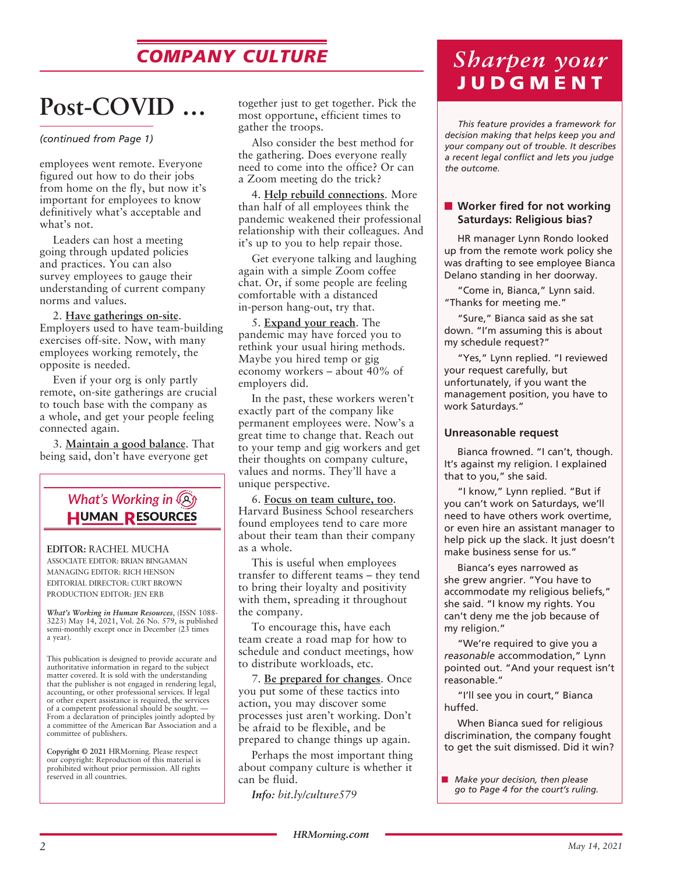## *COMPANY CULTURE*

## **Post-COVID …**

#### *(continued from Page 1)*

employees went remote. Everyone figured out how to do their jobs from home on the fly, but now it's important for employees to know definitively what's acceptable and what's not.

Leaders can host a meeting going through updated policies and practices. You can also survey employees to gauge their understanding of current company norms and values.

2. **Have gatherings on-site**. Employers used to have team-building exercises off-site. Now, with many employees working remotely, the opposite is needed.

Even if your org is only partly remote, on-site gatherings are crucial to touch base with the company as a whole, and get your people feeling connected again.

3. **Maintain a good balance**. That being said, don't have everyone get

### *What's Working in* **HUMAN RESOURCES**

**EDITOR:** RACHEL MUCHA ASSOCIATE EDITOR: BRIAN BINGAMAN MANAGING EDITOR: RICH HENSON EDITORIAL DIRECTOR: CURT BROWN PRODUCTION EDITOR: JEN ERB

*What's Working in Human Resources*, (ISSN 1088- 3223) May 14, 2021, Vol. 26 No. 579, is published semi-monthly except once in December (23 times a year).

This publication is designed to provide accurate and authoritative information in regard to the subject matter covered. It is sold with the understanding that the publisher is not engaged in rendering legal, accounting, or other professional services. If legal or other expert assistance is required, the services of a competent professional should be sought. — From a declaration of principles jointly adopted by a committee of the American Bar Association and a committee of publishers.

**Copyright © 2021** HRMorning. Please respect our copyright: Reproduction of this material is prohibited without prior permission. All rights reserved in all countries.

together just to get together. Pick the most opportune, efficient times to gather the troops.

Also consider the best method for the gathering. Does everyone really need to come into the office? Or can a Zoom meeting do the trick?

4. **Help rebuild connections**. More than half of all employees think the pandemic weakened their professional relationship with their colleagues. And it's up to you to help repair those.

Get everyone talking and laughing again with a simple Zoom coffee chat. Or, if some people are feeling comfortable with a distanced in-person hang-out, try that.

5. **Expand your reach**. The pandemic may have forced you to rethink your usual hiring methods. Maybe you hired temp or gig economy workers – about 40% of employers did.

In the past, these workers weren't exactly part of the company like permanent employees were. Now's a great time to change that. Reach out to your temp and gig workers and get their thoughts on company culture, values and norms. They'll have a unique perspective.

6. **Focus on team culture, too**. Harvard Business School researchers found employees tend to care more about their team than their company as a whole.

This is useful when employees transfer to different teams – they tend to bring their loyalty and positivity with them, spreading it throughout the company.

To encourage this, have each team create a road map for how to schedule and conduct meetings, how to distribute workloads, etc.

7. **Be prepared for changes**. Once you put some of these tactics into action, you may discover some processes just aren't working. Don't be afraid to be flexible, and be prepared to change things up again.

Perhaps the most important thing about company culture is whether it can be fluid.

*Info: bit.ly/culture579*

## *Sharpen your*  **JUDGMENT**

*This feature provides a framework for decision making that helps keep you and your company out of trouble. It describes a recent legal conflict and lets you judge the outcome.*

#### ■ Worker fired for not working **Saturdays: Religious bias?**

HR manager Lynn Rondo looked up from the remote work policy she was drafting to see employee Bianca Delano standing in her doorway.

"Come in, Bianca," Lynn said. "Thanks for meeting me."

"Sure," Bianca said as she sat down. "I'm assuming this is about my schedule request?"

"Yes," Lynn replied. "I reviewed your request carefully, but unfortunately, if you want the management position, you have to work Saturdays."

#### **Unreasonable request**

Bianca frowned. "I can't, though. It's against my religion. I explained that to you," she said.

"I know," Lynn replied. "But if you can't work on Saturdays, we'll need to have others work overtime, or even hire an assistant manager to help pick up the slack. It just doesn't make business sense for us."

Bianca's eyes narrowed as she grew angrier. "You have to accommodate my religious beliefs," she said. "I know my rights. You can't deny me the job because of my religion."

"We're required to give you a *reasonable* accommodation," Lynn pointed out. "And your request isn't reasonable."

"I'll see you in court," Bianca huffed.

When Bianca sued for religious discrimination, the company fought to get the suit dismissed. Did it win?

<sup>■</sup> *Make your decision, then please go to Page 4 for the court's ruling.*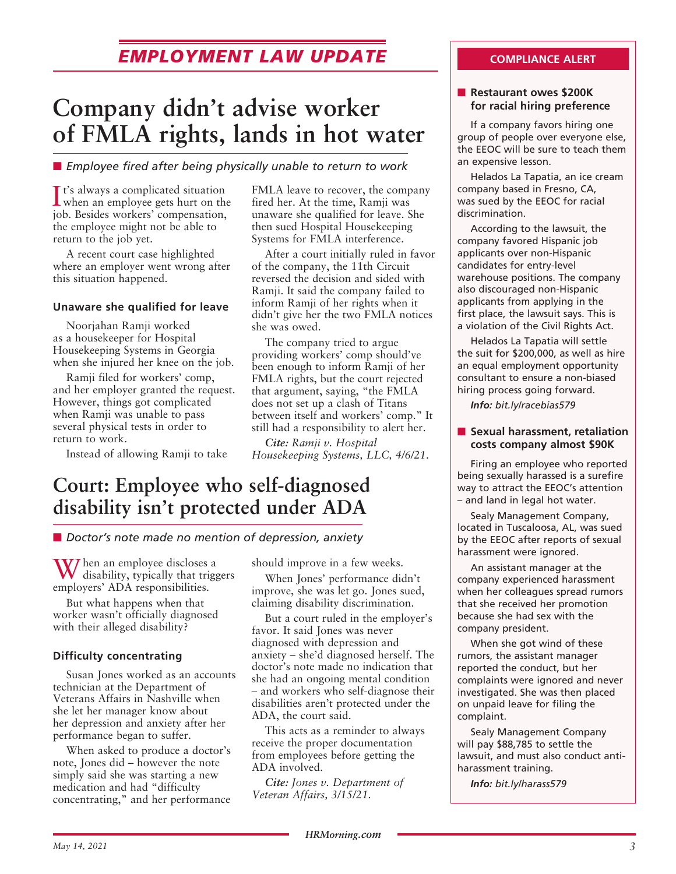### **EMPLOYMENT LAW UPDATE COMPLIANCE ALERT**

## **Company didn't advise worker of FMLA rights, lands in hot water**

**E** *Employee fired after being physically unable to return to work* 

It's always a complicated situation<br>when an employee gets hurt on the It's always a complicated situation job. Besides workers' compensation, the employee might not be able to return to the job yet.

A recent court case highlighted where an employer went wrong after this situation happened.

#### **Unaware she qualified for leave**

Noorjahan Ramji worked as a housekeeper for Hospital Housekeeping Systems in Georgia when she injured her knee on the job.

Ramji filed for workers' comp, and her employer granted the request. However, things got complicated when Ramji was unable to pass several physical tests in order to return to work.

Instead of allowing Ramji to take

FMLA leave to recover, the company fired her. At the time, Ramji was unaware she qualified for leave. She then sued Hospital Housekeeping Systems for FMLA interference.

After a court initially ruled in favor of the company, the 11th Circuit reversed the decision and sided with Ramji. It said the company failed to inform Ramji of her rights when it didn't give her the two FMLA notices she was owed.

The company tried to argue providing workers' comp should've been enough to inform Ramji of her FMLA rights, but the court rejected that argument, saying, "the FMLA does not set up a clash of Titans between itself and workers' comp." It still had a responsibility to alert her.

*Cite: Ramji v. Hospital Housekeeping Systems, LLC, 4/6/21.*

## **Court: Employee who self-diagnosed disability isn't protected under ADA**

■ *Doctor's note made no mention of depression, anxiety* 

When an employee discloses a disability, typically that triggers employers' ADA responsibilities.

But what happens when that worker wasn't officially diagnosed with their alleged disability?

#### **Difficulty concentrating**

Susan Jones worked as an accounts technician at the Department of Veterans Affairs in Nashville when she let her manager know about her depression and anxiety after her performance began to suffer.

When asked to produce a doctor's note, Jones did – however the note simply said she was starting a new medication and had "difficulty concentrating," and her performance should improve in a few weeks.

When Jones' performance didn't improve, she was let go. Jones sued, claiming disability discrimination.

But a court ruled in the employer's favor. It said Jones was never diagnosed with depression and anxiety – she'd diagnosed herself. The doctor's note made no indication that she had an ongoing mental condition – and workers who self-diagnose their disabilities aren't protected under the ADA, the court said.

This acts as a reminder to always receive the proper documentation from employees before getting the ADA involved.

*Cite: Jones v. Department of Veteran Affairs, 3/15/21.*

#### **n** Restaurant owes \$200K **for racial hiring preference**

If a company favors hiring one group of people over everyone else, the EEOC will be sure to teach them an expensive lesson.

Helados La Tapatia, an ice cream company based in Fresno, CA, was sued by the EEOC for racial discrimination.

According to the lawsuit, the company favored Hispanic job applicants over non-Hispanic candidates for entry-level warehouse positions. The company also discouraged non-Hispanic applicants from applying in the first place, the lawsuit says. This is a violation of the Civil Rights Act.

Helados La Tapatia will settle the suit for \$200,000, as well as hire an equal employment opportunity consultant to ensure a non-biased hiring process going forward.

*Info: bit.ly/racebias579*

#### **n** Sexual harassment, retaliation **costs company almost \$90K**

Firing an employee who reported being sexually harassed is a surefire way to attract the EEOC's attention – and land in legal hot water.

Sealy Management Company, located in Tuscaloosa, AL, was sued by the EEOC after reports of sexual harassment were ignored.

An assistant manager at the company experienced harassment when her colleagues spread rumors that she received her promotion because she had sex with the company president.

When she got wind of these rumors, the assistant manager reported the conduct, but her complaints were ignored and never investigated. She was then placed on unpaid leave for filing the complaint.

Sealy Management Company will pay \$88,785 to settle the lawsuit, and must also conduct antiharassment training.

*Info: bit.ly/harass579*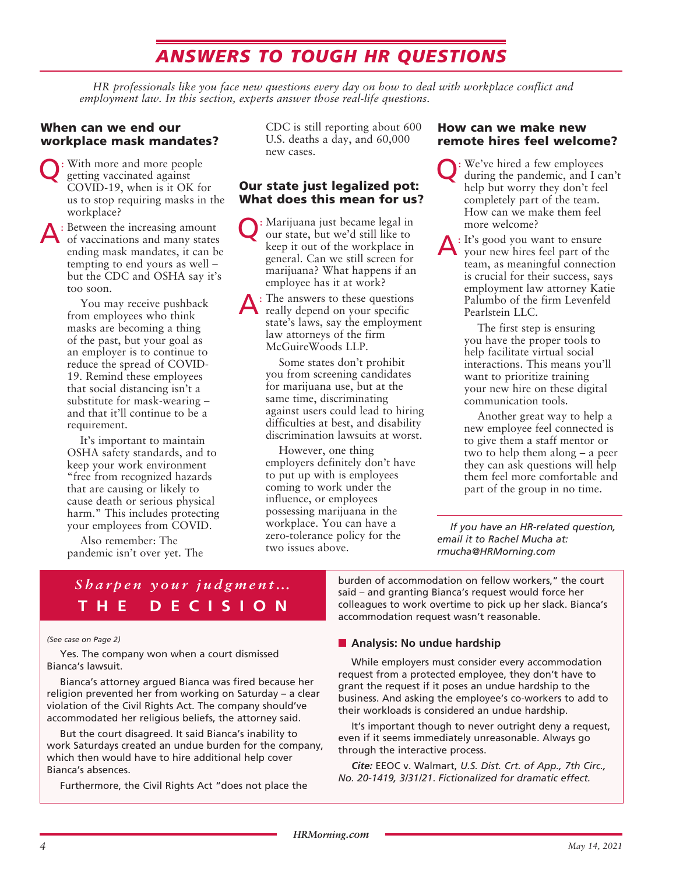## *ANSWERS TO TOUGH HR QUESTIONS*

*HR professionals like you face new questions every day on how to deal with workplace conflict and employment law. In this section, experts answer those real-life questions.*

#### When can we end our workplace mask mandates?

Q: With more and more people getting vaccinated against COVID-19, when is it OK for us to stop requiring masks in the workplace?

A: Between the increasing amount of vaccinations and many states ending mask mandates, it can be tempting to end yours as well – but the CDC and OSHA say it's too soon.

> You may receive pushback from employees who think masks are becoming a thing of the past, but your goal as an employer is to continue to reduce the spread of COVID-19. Remind these employees that social distancing isn't a substitute for mask-wearing – and that it'll continue to be a requirement.

It's important to maintain OSHA safety standards, and to keep your work environment "free from recognized hazards that are causing or likely to cause death or serious physical harm." This includes protecting your employees from COVID.

Also remember: The pandemic isn't over yet. The CDC is still reporting about 600 U.S. deaths a day, and 60,000 new cases.

#### Our state just legalized pot: What does this mean for us?

Q: Marijuana just became legal in our state, but we'd still like to keep it out of the workplace in general. Can we still screen for marijuana? What happens if an employee has it at work?

A: The answers to these questions really depend on your specific state's laws, say the employment law attorneys of the firm McGuireWoods LLP.

> Some states don't prohibit you from screening candidates for marijuana use, but at the same time, discriminating against users could lead to hiring difficulties at best, and disability discrimination lawsuits at worst.

However, one thing employers definitely don't have to put up with is employees coming to work under the influence, or employees possessing marijuana in the workplace. You can have a zero-tolerance policy for the two issues above.

#### How can we make new remote hires feel welcome?

Q: We've hired a few employees during the pandemic, and I can't help but worry they don't feel completely part of the team. How can we make them feel more welcome?

A: It's good you want to ensure your new hires feel part of the team, as meaningful connection is crucial for their success, says employment law attorney Katie Palumbo of the firm Levenfeld Pearlstein LLC.

> The first step is ensuring you have the proper tools to help facilitate virtual social interactions. This means you'll want to prioritize training your new hire on these digital communication tools.

Another great way to help a new employee feel connected is to give them a staff mentor or two to help them along – a peer they can ask questions will help them feel more comfortable and part of the group in no time.

*If you have an HR-related question, email it to Rachel Mucha at: rmucha@HRMorning.com*

### *Sharpen your judgment…* **THE DECISION**

#### *(See case on Page 2)*

Yes. The company won when a court dismissed Bianca's lawsuit.

Bianca's attorney argued Bianca was fired because her religion prevented her from working on Saturday – a clear violation of the Civil Rights Act. The company should've accommodated her religious beliefs, the attorney said.

But the court disagreed. It said Bianca's inability to work Saturdays created an undue burden for the company, which then would have to hire additional help cover Bianca's absences.

Furthermore, the Civil Rights Act "does not place the

burden of accommodation on fellow workers," the court said – and granting Bianca's request would force her colleagues to work overtime to pick up her slack. Bianca's accommodation request wasn't reasonable.

#### **n** Analysis: No undue hardship

While employers must consider every accommodation request from a protected employee, they don't have to grant the request if it poses an undue hardship to the business. And asking the employee's co-workers to add to their workloads is considered an undue hardship.

It's important though to never outright deny a request, even if it seems immediately unreasonable. Always go through the interactive process.

*Cite:* EEOC v. Walmart, *U.S. Dist. Crt. of App., 7th Circ., No. 20-1419, 3/31/21*. *Fictionalized for dramatic effect.*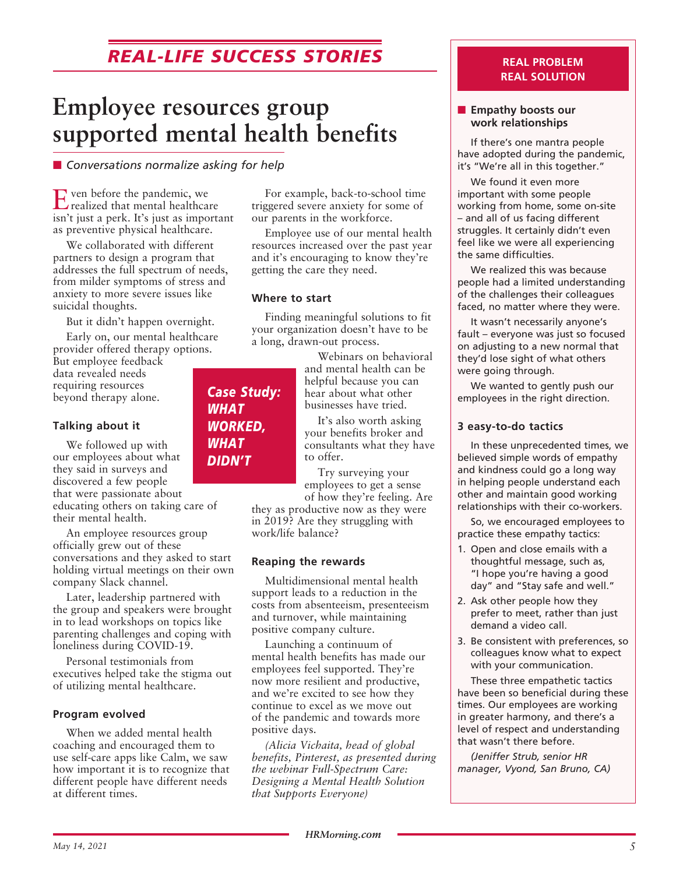## *REAL-LIFE SUCCESS STORIES*

## **Employee resources group supported mental health benefits**

■ Conversations normalize asking for help

Even before the pandemic, we realized that mental healthcare isn't just a perk. It's just as important as preventive physical healthcare.

We collaborated with different partners to design a program that addresses the full spectrum of needs, from milder symptoms of stress and anxiety to more severe issues like suicidal thoughts.

But it didn't happen overnight.

Early on, our mental healthcare provider offered therapy options.

But employee feedback data revealed needs requiring resources beyond therapy alone.

#### **Talking about it**

We followed up with our employees about what they said in surveys and discovered a few people

that were passionate about educating others on taking care of their mental health.

An employee resources group officially grew out of these conversations and they asked to start holding virtual meetings on their own company Slack channel.

Later, leadership partnered with the group and speakers were brought in to lead workshops on topics like parenting challenges and coping with loneliness during COVID-19.

Personal testimonials from executives helped take the stigma out of utilizing mental healthcare.

#### **Program evolved**

When we added mental health coaching and encouraged them to use self-care apps like Calm, we saw how important it is to recognize that different people have different needs at different times.

For example, back-to-school time triggered severe anxiety for some of our parents in the workforce.

Employee use of our mental health resources increased over the past year and it's encouraging to know they're getting the care they need.

#### **Where to start**

Finding meaningful solutions to fit your organization doesn't have to be a long, drawn-out process.

> Webinars on behavioral and mental health can be helpful because you can hear about what other businesses have tried.

It's also worth asking your benefits broker and consultants what they have to offer.

Try surveying your employees to get a sense of how they're feeling. Are

they as productive now as they were in 2019? Are they struggling with work/life balance?

#### **Reaping the rewards**

Multidimensional mental health support leads to a reduction in the costs from absenteeism, presenteeism and turnover, while maintaining positive company culture.

Launching a continuum of mental health benefits has made our employees feel supported. They're now more resilient and productive, and we're excited to see how they continue to excel as we move out of the pandemic and towards more positive days.

*(Alicia Vichaita, head of global benefits, Pinterest, as presented during the webinar Full-Spectrum Care: Designing a Mental Health Solution that Supports Everyone)*

#### **REAL PROBLEM REAL SOLUTION**

#### **Empathy boosts our work relationships**

If there's one mantra people have adopted during the pandemic, it's "We're all in this together."

We found it even more important with some people working from home, some on-site – and all of us facing different struggles. It certainly didn't even feel like we were all experiencing the same difficulties.

We realized this was because people had a limited understanding of the challenges their colleagues faced, no matter where they were.

It wasn't necessarily anyone's fault – everyone was just so focused on adjusting to a new normal that they'd lose sight of what others were going through.

We wanted to gently push our employees in the right direction.

#### **3 easy-to-do tactics**

In these unprecedented times, we believed simple words of empathy and kindness could go a long way in helping people understand each other and maintain good working relationships with their co-workers.

So, we encouraged employees to practice these empathy tactics:

- 1. Open and close emails with a thoughtful message, such as, "I hope you're having a good day" and "Stay safe and well."
- 2. Ask other people how they prefer to meet, rather than just demand a video call.
- 3. Be consistent with preferences, so colleagues know what to expect with your communication.

These three empathetic tactics have been so beneficial during these times. Our employees are working in greater harmony, and there's a level of respect and understanding that wasn't there before.

*(Jeniffer Strub, senior HR manager, Vyond, San Bruno, CA)*

#### *Case Study: WHAT WORKED, WHAT DIDN'T*